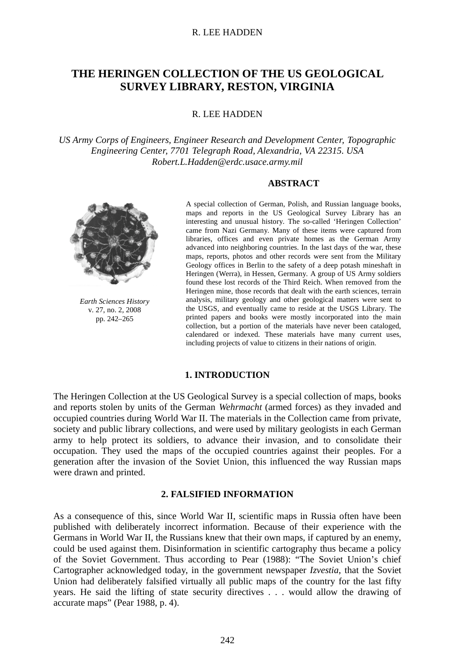# **THE HERINGEN COLLECTION OF THE US GEOLOGICAL SURVEY LIBRARY, RESTON, VIRGINIA**

R. LEE HADDEN

*US Army Corps of Engineers, Engineer Research and Development Center, Topographic Engineering Center, 7701 Telegraph Road, Alexandria, VA 22315. USA Robert.L.Hadden@erdc.usace.army.mil*

### **ABSTRACT**



*Earth Sciences History* v. 27, no. 2, 2008 pp. 242–265

A special collection of German, Polish, and Russian language books, maps and reports in the US Geological Survey Library has an interesting and unusual history. The so-called 'Heringen Collection' came from Nazi Germany. Many of these items were captured from libraries, offices and even private homes as the German Army advanced into neighboring countries. In the last days of the war, these maps, reports, photos and other records were sent from the Military Geology offices in Berlin to the safety of a deep potash mineshaft in Heringen (Werra), in Hessen, Germany. A group of US Army soldiers found these lost records of the Third Reich. When removed from the Heringen mine, those records that dealt with the earth sciences, terrain analysis, military geology and other geological matters were sent to the USGS, and eventually came to reside at the USGS Library. The printed papers and books were mostly incorporated into the main collection, but a portion of the materials have never been cataloged, calendared or indexed. These materials have many current uses, including projects of value to citizens in their nations of origin.

### **1. INTRODUCTION**

The Heringen Collection at the US Geological Survey is a special collection of maps, books and reports stolen by units of the German *Wehrmacht* (armed forces) as they invaded and occupied countries during World War II. The materials in the Collection came from private, society and public library collections, and were used by military geologists in each German army to help protect its soldiers, to advance their invasion, and to consolidate their occupation. They used the maps of the occupied countries against their peoples. For a generation after the invasion of the Soviet Union, this influenced the way Russian maps were drawn and printed.

#### **2. FALSIFIED INFORMATION**

As a consequence of this, since World War II, scientific maps in Russia often have been published with deliberately incorrect information. Because of their experience with the Germans in World War II, the Russians knew that their own maps, if captured by an enemy, could be used against them. Disinformation in scientific cartography thus became a policy of the Soviet Government. Thus according to Pear (1988): "The Soviet Union's chief Cartographer acknowledged today, in the government newspaper *Izvestia*, that the Soviet Union had deliberately falsified virtually all public maps of the country for the last fifty years. He said the lifting of state security directives . . . would allow the drawing of accurate maps" (Pear 1988, p. 4).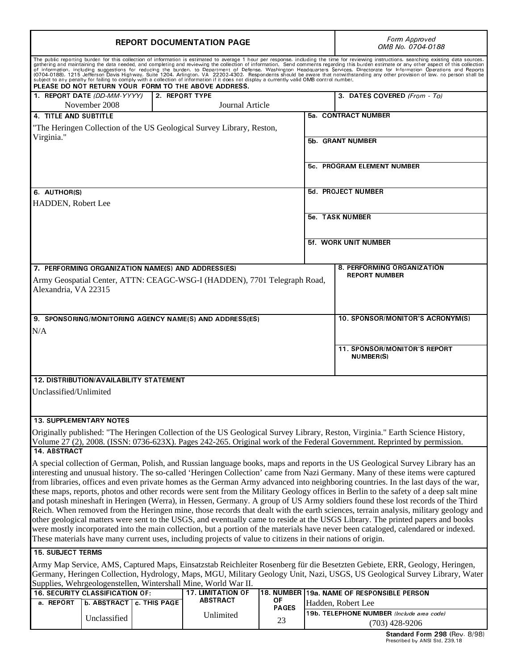| <b>REPORT DOCUMENTATION PAGE</b>                                                                                                                                                                                                                                                                                                                                                                                                                                                                                                                                                                                                                                                                                                                                                                                                                                                                                                                                                                                                                                                                                                                                                                                                     |                                              |              |                                                    |                    |                            | Form Approved<br>OMB No. 0704-0188                            |
|--------------------------------------------------------------------------------------------------------------------------------------------------------------------------------------------------------------------------------------------------------------------------------------------------------------------------------------------------------------------------------------------------------------------------------------------------------------------------------------------------------------------------------------------------------------------------------------------------------------------------------------------------------------------------------------------------------------------------------------------------------------------------------------------------------------------------------------------------------------------------------------------------------------------------------------------------------------------------------------------------------------------------------------------------------------------------------------------------------------------------------------------------------------------------------------------------------------------------------------|----------------------------------------------|--------------|----------------------------------------------------|--------------------|----------------------------|---------------------------------------------------------------|
| The public reporting burden for this collection of information is estimated to average 1 hour per response, including the time for reviewing instructions, searching existing data sources,<br>gathering and maintaining the data needed, and completing and reviewing the collection of information. Send comments regarding this burden estimate or any other aspect of this collection<br>givening and metalling suggestions for reducing the burden, to Department of Defense, Washington Headquarters Services, Directorate for Information Operations and Reports<br>(0704-0188), 1215 Jefferson Davis Highway, Suite 12<br>PLEASE DO NOT RETURN YOUR FORM TO THE ABOVE ADDRESS.                                                                                                                                                                                                                                                                                                                                                                                                                                                                                                                                               |                                              |              |                                                    |                    |                            |                                                               |
|                                                                                                                                                                                                                                                                                                                                                                                                                                                                                                                                                                                                                                                                                                                                                                                                                                                                                                                                                                                                                                                                                                                                                                                                                                      | 1. REPORT DATE (DD-MM-YYYY)<br>November 2008 |              | 2 REPORT TYPE<br>Journal Article                   |                    |                            | 3 DATES COVERED (From To)                                     |
| 4. TITLE AND SUBTITLE                                                                                                                                                                                                                                                                                                                                                                                                                                                                                                                                                                                                                                                                                                                                                                                                                                                                                                                                                                                                                                                                                                                                                                                                                |                                              |              |                                                    |                    |                            | 5a CONTRACT NUMBER                                            |
| "The Heringen Collection of the US Geological Survey Library, Reston,                                                                                                                                                                                                                                                                                                                                                                                                                                                                                                                                                                                                                                                                                                                                                                                                                                                                                                                                                                                                                                                                                                                                                                |                                              |              |                                                    |                    |                            |                                                               |
| Virginia."                                                                                                                                                                                                                                                                                                                                                                                                                                                                                                                                                                                                                                                                                                                                                                                                                                                                                                                                                                                                                                                                                                                                                                                                                           |                                              |              |                                                    |                    | 5b. GRANT NUMBER           |                                                               |
|                                                                                                                                                                                                                                                                                                                                                                                                                                                                                                                                                                                                                                                                                                                                                                                                                                                                                                                                                                                                                                                                                                                                                                                                                                      |                                              |              |                                                    |                    | 5c. PROGRAM ELEMENT NUMBER |                                                               |
| 6. AUTHOR(S)                                                                                                                                                                                                                                                                                                                                                                                                                                                                                                                                                                                                                                                                                                                                                                                                                                                                                                                                                                                                                                                                                                                                                                                                                         |                                              |              |                                                    |                    | 5d. PROJECT NUMBER         |                                                               |
| HADDEN, Robert Lee                                                                                                                                                                                                                                                                                                                                                                                                                                                                                                                                                                                                                                                                                                                                                                                                                                                                                                                                                                                                                                                                                                                                                                                                                   |                                              |              |                                                    |                    |                            |                                                               |
|                                                                                                                                                                                                                                                                                                                                                                                                                                                                                                                                                                                                                                                                                                                                                                                                                                                                                                                                                                                                                                                                                                                                                                                                                                      |                                              |              |                                                    |                    | 5e TASK NUMBER             |                                                               |
|                                                                                                                                                                                                                                                                                                                                                                                                                                                                                                                                                                                                                                                                                                                                                                                                                                                                                                                                                                                                                                                                                                                                                                                                                                      |                                              |              |                                                    |                    |                            | <b>5f. WORK UNIT NUMBER</b>                                   |
|                                                                                                                                                                                                                                                                                                                                                                                                                                                                                                                                                                                                                                                                                                                                                                                                                                                                                                                                                                                                                                                                                                                                                                                                                                      |                                              |              |                                                    |                    |                            |                                                               |
|                                                                                                                                                                                                                                                                                                                                                                                                                                                                                                                                                                                                                                                                                                                                                                                                                                                                                                                                                                                                                                                                                                                                                                                                                                      |                                              |              |                                                    |                    |                            |                                                               |
|                                                                                                                                                                                                                                                                                                                                                                                                                                                                                                                                                                                                                                                                                                                                                                                                                                                                                                                                                                                                                                                                                                                                                                                                                                      |                                              |              | 7. PERFORMING ORGANIZATION NAME(S) AND ADDRESS(ES) |                    |                            | 8. PERFORMING ORGANIZATION<br><b>REPORT NUMBER</b>            |
| Army Geospatial Center, ATTN: CEAGC-WSG-I (HADDEN), 7701 Telegraph Road,<br>Alexandria, VA 22315                                                                                                                                                                                                                                                                                                                                                                                                                                                                                                                                                                                                                                                                                                                                                                                                                                                                                                                                                                                                                                                                                                                                     |                                              |              |                                                    |                    |                            |                                                               |
| 10. SPONSOR/MONITOR'S ACRONYM(S)<br>9. SPONSORING/MONITORING AGENCY NAME(S) AND ADDRESS(ES)                                                                                                                                                                                                                                                                                                                                                                                                                                                                                                                                                                                                                                                                                                                                                                                                                                                                                                                                                                                                                                                                                                                                          |                                              |              |                                                    |                    |                            |                                                               |
| N/A                                                                                                                                                                                                                                                                                                                                                                                                                                                                                                                                                                                                                                                                                                                                                                                                                                                                                                                                                                                                                                                                                                                                                                                                                                  |                                              |              |                                                    |                    |                            |                                                               |
|                                                                                                                                                                                                                                                                                                                                                                                                                                                                                                                                                                                                                                                                                                                                                                                                                                                                                                                                                                                                                                                                                                                                                                                                                                      |                                              |              |                                                    |                    |                            |                                                               |
|                                                                                                                                                                                                                                                                                                                                                                                                                                                                                                                                                                                                                                                                                                                                                                                                                                                                                                                                                                                                                                                                                                                                                                                                                                      |                                              |              |                                                    |                    |                            | <b>11. SPONSOR/MONITOR'S REPORT</b><br><b>NUMBER(S)</b>       |
| 12. DISTRIBUTION/AVAILABILITY STATEMENT                                                                                                                                                                                                                                                                                                                                                                                                                                                                                                                                                                                                                                                                                                                                                                                                                                                                                                                                                                                                                                                                                                                                                                                              |                                              |              |                                                    |                    |                            |                                                               |
| Unclassified/Unlimited                                                                                                                                                                                                                                                                                                                                                                                                                                                                                                                                                                                                                                                                                                                                                                                                                                                                                                                                                                                                                                                                                                                                                                                                               |                                              |              |                                                    |                    |                            |                                                               |
|                                                                                                                                                                                                                                                                                                                                                                                                                                                                                                                                                                                                                                                                                                                                                                                                                                                                                                                                                                                                                                                                                                                                                                                                                                      |                                              |              |                                                    |                    |                            |                                                               |
| <b>13. SUPPLEMENTARY NOTES</b>                                                                                                                                                                                                                                                                                                                                                                                                                                                                                                                                                                                                                                                                                                                                                                                                                                                                                                                                                                                                                                                                                                                                                                                                       |                                              |              |                                                    |                    |                            |                                                               |
| Originally published: "The Heringen Collection of the US Geological Survey Library, Reston, Virginia." Earth Science History,<br>Volume 27 (2), 2008. (ISSN: 0736-623X). Pages 242-265. Original work of the Federal Government. Reprinted by permission.                                                                                                                                                                                                                                                                                                                                                                                                                                                                                                                                                                                                                                                                                                                                                                                                                                                                                                                                                                            |                                              |              |                                                    |                    |                            |                                                               |
| 14 ABSTRACT<br>A special collection of German, Polish, and Russian language books, maps and reports in the US Geological Survey Library has an<br>interesting and unusual history. The so-called 'Heringen Collection' came from Nazi Germany. Many of these items were captured<br>from libraries, offices and even private homes as the German Army advanced into neighboring countries. In the last days of the war,<br>these maps, reports, photos and other records were sent from the Military Geology offices in Berlin to the safety of a deep salt mine<br>and potash mineshaft in Heringen (Werra), in Hessen, Germany. A group of US Army soldiers found these lost records of the Third<br>Reich. When removed from the Heringen mine, those records that dealt with the earth sciences, terrain analysis, military geology and<br>other geological matters were sent to the USGS, and eventually came to reside at the USGS Library. The printed papers and books<br>were mostly incorporated into the main collection, but a portion of the materials have never been cataloged, calendared or indexed.<br>These materials have many current uses, including projects of value to citizens in their nations of origin. |                                              |              |                                                    |                    |                            |                                                               |
| <b>15. SUBJECT TERMS</b>                                                                                                                                                                                                                                                                                                                                                                                                                                                                                                                                                                                                                                                                                                                                                                                                                                                                                                                                                                                                                                                                                                                                                                                                             |                                              |              |                                                    |                    |                            |                                                               |
| Army Map Service, AMS, Captured Maps, Einsatzstab Reichleiter Rosenberg für die Besetzten Gebiete, ERR, Geology, Heringen,<br>Germany, Heringen Collection, Hydrology, Maps, MGU, Military Geology Unit, Nazi, USGS, US Geological Survey Library, Water<br>Supplies, Wehrgeologenstellen, Wintershall Mine, World War II.                                                                                                                                                                                                                                                                                                                                                                                                                                                                                                                                                                                                                                                                                                                                                                                                                                                                                                           |                                              |              |                                                    |                    |                            |                                                               |
| <b>17. LIMITATION OF</b><br>16. SECURITY CLASSIFICATION OF:                                                                                                                                                                                                                                                                                                                                                                                                                                                                                                                                                                                                                                                                                                                                                                                                                                                                                                                                                                                                                                                                                                                                                                          |                                              |              |                                                    |                    |                            | 18. NUMBER 19a. NAME OF RESPONSIBLE PERSON                    |
| <b>REPORT</b><br>a.                                                                                                                                                                                                                                                                                                                                                                                                                                                                                                                                                                                                                                                                                                                                                                                                                                                                                                                                                                                                                                                                                                                                                                                                                  | <b>b ABSTRACT</b>                            | c. THIS PAGE | <b>ABSTRACT</b>                                    | ΟF<br><b>PAGES</b> |                            | Hadden, Robert Lee                                            |
|                                                                                                                                                                                                                                                                                                                                                                                                                                                                                                                                                                                                                                                                                                                                                                                                                                                                                                                                                                                                                                                                                                                                                                                                                                      | Unclassified                                 |              | Unlimited                                          | 23                 |                            | 19b. TELEPHONE NUMBER (Include area code)<br>$(703)$ 428-9206 |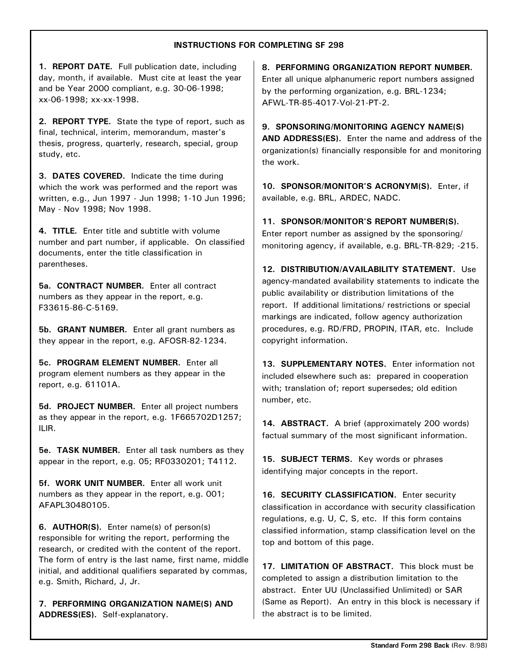# **INSTRUCTIONS FOR COMPLETING SF 298**

**1. REPORT DATE.** Full publication date, including day, month, if available. Must cite at least the year and be Year 2000 compliant, e.g. 30-06-1998; xx-06-1998: xx-xx-1998.

2. REPORT TYPE. State the type of report, such as final, technical, interim, memorandum, master's thesis, progress, quarterly, research, special, group study, etc.

**3. DATES COVERED.** Indicate the time during which the work was performed and the report was written, e.g., Jun 1997 - Jun 1998; 1-10 Jun 1996; May - Nov 1998; Nov 1998.

**4. TITLE.** Enter title and subtitle with volume number and part number, if applicable. On classified documents, enter the title classification in parentheses.

**5a. CONTRACT NUMBER.** Enter all contract numbers as they appear in the report, e.g. F33615-86-C-5169.

**5b. GRANT NUMBER.** Enter all grant numbers as they appear in the report, e.g.  $AFOSR-82-1234$ .

**5c. PROGRAM ELEMENT NUMBER.** Enter all program element numbers as they appear in the report, e.g. 61101A.

**5d. PROJECT NUMBER.** Enter all project numbers as they appear in the report, e.g.  $1F665702D1257$ ;  $ILIR.$ 

**5e. TASK NUMBER.** Enter all task numbers as they appear in the report, e.g.  $05$ ; RF0330201; T4112.

**5f. WORK UNIT NUMBER.** Enter all work unit numbers as they appear in the report, e.g.  $001$ ; AFAPL30480105.

6. **AUTHOR(S).** Enter name(s) of person(s) responsible for writing the report, performing the research, or credited with the content of the report. The form of entry is the last name, first name, middle initial, and additional qualifiers separated by commas, e.g. Smith, Richard, J, Jr.

**7. PERFORMING ORGANIZATION NAME(S) AND** ADDRESS(ES). Self-explanatory.

**8. PERFORMING ORGANIZATION REPORT NUMBER.** Enter all unique alphanumeric report numbers assigned by the performing organization, e.g. BRL-1234; AFWL-TR-85-4017-Vol-21-PT-2.

**9. SPONSORING/MONITORING AGENCY NAME(S) AND ADDRESS(ES).** Enter the name and address of the organization(s) financially responsible for and monitoring the work.

10. SPONSOR/MONITOR'S ACRONYM(S). Enter, if available, e.g. BRL, ARDEC, NADC.

11. SPONSOR/MONITOR'S REPORT NUMBER(S). Enter report number as assigned by the sponsoring/ monitoring agency, if available, e.g. BRL-TR-829; -215.

12. DISTRIBUTION/AVAILABILITY STATEMENT. Use agency-mandated availability statements to indicate the public availability or distribution limitations of the report. If additional limitations/ restrictions or special markings are indicated, follow agency authorization procedures, e.g. RD/FRD, PROPIN, ITAR, etc. Include copyright information.

13. SUPPLEMENTARY NOTES. Enter information not included elsewhere such as: prepared in cooperation with; translation of; report supersedes; old edition number, etc.

14. ABSTRACT. A brief (approximately 200 words) factual summary of the most significant information.

15. SUBJECT TERMS. Key words or phrases identifying major concepts in the report.

**16. SECURITY CLASSIFICATION.** Enter security classification in accordance with security classification regulations, e.g.  $U, C, S$ , etc. If this form contains classified information, stamp classification level on the top and bottom of this page.

17. LIMITATION OF ABSTRACT. This block must be completed to assign a distribution limitation to the abstract. Enter UU (Unclassified Unlimited) or SAR (Same as Report). An entry in this block is necessary if the abstract is to be limited.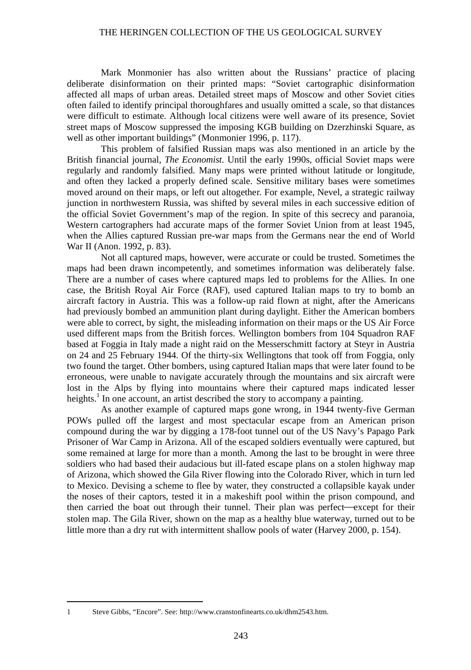Mark Monmonier has also written about the Russians' practice of placing deliberate disinformation on their printed maps: "Soviet cartographic disinformation affected all maps of urban areas. Detailed street maps of Moscow and other Soviet cities often failed to identify principal thoroughfares and usually omitted a scale, so that distances were difficult to estimate. Although local citizens were well aware of its presence, Soviet street maps of Moscow suppressed the imposing KGB building on Dzerzhinski Square, as well as other important buildings" (Monmonier 1996, p. 117).

This problem of falsified Russian maps was also mentioned in an article by the British financial journal, *The Economist*. Until the early 1990s, official Soviet maps were regularly and randomly falsified. Many maps were printed without latitude or longitude, and often they lacked a properly defined scale. Sensitive military bases were sometimes moved around on their maps, or left out altogether. For example, Nevel, a strategic railway junction in northwestern Russia, was shifted by several miles in each successive edition of the official Soviet Government's map of the region. In spite of this secrecy and paranoia, Western cartographers had accurate maps of the former Soviet Union from at least 1945, when the Allies captured Russian pre-war maps from the Germans near the end of World War II (Anon. 1992, p. 83).

Not all captured maps, however, were accurate or could be trusted. Sometimes the maps had been drawn incompetently, and sometimes information was deliberately false. There are a number of cases where captured maps led to problems for the Allies. In one case, the British Royal Air Force (RAF), used captured Italian maps to try to bomb an aircraft factory in Austria. This was a follow-up raid flown at night, after the Americans had previously bombed an ammunition plant during daylight. Either the American bombers were able to correct, by sight, the misleading information on their maps or the US Air Force used different maps from the British forces. Wellington bombers from 104 Squadron RAF based at Foggia in Italy made a night raid on the Messerschmitt factory at Steyr in Austria on 24 and 25 February 1944. Of the thirty-six Wellingtons that took off from Foggia, only two found the target. Other bombers, using captured Italian maps that were later found to be erroneous, were unable to navigate accurately through the mountains and six aircraft were lost in the Alps by flying into mountains where their captured maps indicated lesser heights.<sup>1</sup> In one account, an artist described the story to accompany a painting.

As another example of captured maps gone wrong, in 1944 twenty-five German POWs pulled off the largest and most spectacular escape from an American prison compound during the war by digging a 178-foot tunnel out of the US Navy's Papago Park Prisoner of War Camp in Arizona. All of the escaped soldiers eventually were captured, but some remained at large for more than a month. Among the last to be brought in were three soldiers who had based their audacious but ill-fated escape plans on a stolen highway map of Arizona, which showed the Gila River flowing into the Colorado River, which in turn led to Mexico. Devising a scheme to flee by water, they constructed a collapsible kayak under the noses of their captors, tested it in a makeshift pool within the prison compound, and then carried the boat out through their tunnel. Their plan was perfect—except for their stolen map. The Gila River, shown on the map as a healthy blue waterway, turned out to be little more than a dry rut with intermittent shallow pools of water (Harvey 2000, p. 154).

 <sup>1</sup> Steve Gibbs, "Encore". See: http://www.cranstonfinearts.co.uk/dhm2543.htm.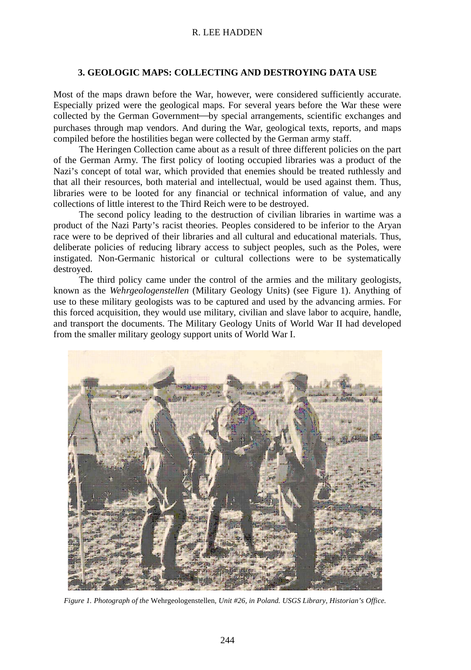# **3. GEOLOGIC MAPS: COLLECTING AND DESTROYING DATA USE**

Most of the maps drawn before the War, however, were considered sufficiently accurate. Especially prized were the geological maps. For several years before the War these were collected by the German Government—by special arrangements, scientific exchanges and purchases through map vendors. And during the War, geological texts, reports, and maps compiled before the hostilities began were collected by the German army staff.

The Heringen Collection came about as a result of three different policies on the part of the German Army. The first policy of looting occupied libraries was a product of the Nazi's concept of total war, which provided that enemies should be treated ruthlessly and that all their resources, both material and intellectual, would be used against them. Thus, libraries were to be looted for any financial or technical information of value, and any collections of little interest to the Third Reich were to be destroyed.

The second policy leading to the destruction of civilian libraries in wartime was a product of the Nazi Party's racist theories. Peoples considered to be inferior to the Aryan race were to be deprived of their libraries and all cultural and educational materials. Thus, deliberate policies of reducing library access to subject peoples, such as the Poles, were instigated. Non-Germanic historical or cultural collections were to be systematically destroyed.

The third policy came under the control of the armies and the military geologists, known as the *Wehrgeologenstellen* (Military Geology Units) (see Figure 1). Anything of use to these military geologists was to be captured and used by the advancing armies. For this forced acquisition, they would use military, civilian and slave labor to acquire, handle, and transport the documents. The Military Geology Units of World War II had developed from the smaller military geology support units of World War I.



*Figure 1. Photograph of the* Wehrgeologenstellen*, Unit #26, in Poland. USGS Library, Historian's Office.*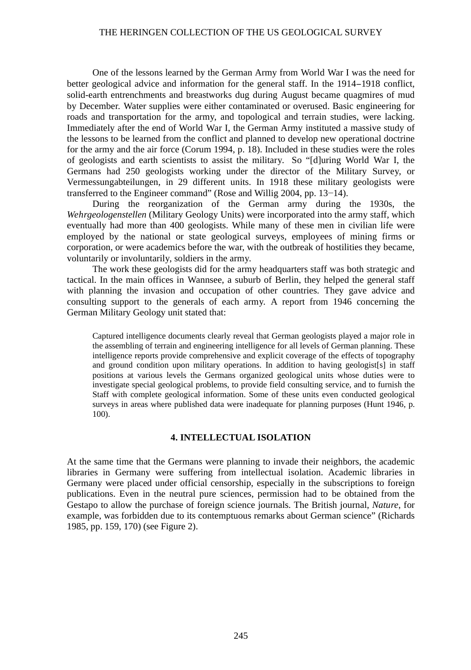One of the lessons learned by the German Army from World War I was the need for better geological advice and information for the general staff. In the 1914−1918 conflict, solid-earth entrenchments and breastworks dug during August became quagmires of mud by December. Water supplies were either contaminated or overused. Basic engineering for roads and transportation for the army, and topological and terrain studies, were lacking. Immediately after the end of World War I, the German Army instituted a massive study of the lessons to be learned from the conflict and planned to develop new operational doctrine for the army and the air force (Corum 1994, p. 18). Included in these studies were the roles of geologists and earth scientists to assist the military. So "[d]uring World War I, the Germans had 250 geologists working under the director of the Military Survey, or Vermessungabteilungen, in 29 different units. In 1918 these military geologists were transferred to the Engineer command" (Rose and Willig 2004, pp. 13−14).

During the reorganization of the German army during the 1930s, the *Wehrgeologenstellen* (Military Geology Units) were incorporated into the army staff, which eventually had more than 400 geologists. While many of these men in civilian life were employed by the national or state geological surveys, employees of mining firms or corporation, or were academics before the war, with the outbreak of hostilities they became, voluntarily or involuntarily, soldiers in the army.

The work these geologists did for the army headquarters staff was both strategic and tactical. In the main offices in Wannsee, a suburb of Berlin, they helped the general staff with planning the invasion and occupation of other countries. They gave advice and consulting support to the generals of each army. A report from 1946 concerning the German Military Geology unit stated that:

Captured intelligence documents clearly reveal that German geologists played a major role in the assembling of terrain and engineering intelligence for all levels of German planning. These intelligence reports provide comprehensive and explicit coverage of the effects of topography and ground condition upon military operations. In addition to having geologist[s] in staff positions at various levels the Germans organized geological units whose duties were to investigate special geological problems, to provide field consulting service, and to furnish the Staff with complete geological information. Some of these units even conducted geological surveys in areas where published data were inadequate for planning purposes (Hunt 1946, p. 100).

#### **4. INTELLECTUAL ISOLATION**

At the same time that the Germans were planning to invade their neighbors, the academic libraries in Germany were suffering from intellectual isolation. Academic libraries in Germany were placed under official censorship, especially in the subscriptions to foreign publications. Even in the neutral pure sciences, permission had to be obtained from the Gestapo to allow the purchase of foreign science journals. The British journal, *Nature*, for example, was forbidden due to its contemptuous remarks about German science" (Richards 1985, pp. 159, 170) (see Figure 2).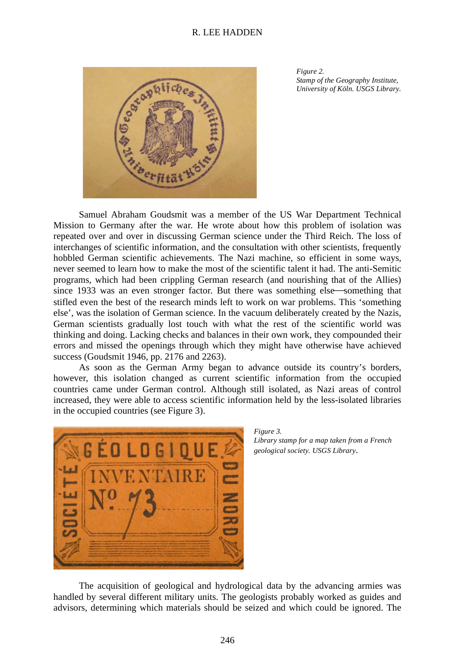

*Figure 2. Stamp of the Geography Institute, University of Köln. USGS Library.*

Samuel Abraham Goudsmit was a member of the US War Department Technical Mission to Germany after the war. He wrote about how this problem of isolation was repeated over and over in discussing German science under the Third Reich. The loss of interchanges of scientific information, and the consultation with other scientists, frequently hobbled German scientific achievements. The Nazi machine, so efficient in some ways, never seemed to learn how to make the most of the scientific talent it had. The anti-Semitic programs, which had been crippling German research (and nourishing that of the Allies) since 1933 was an even stronger factor. But there was something else—something that stifled even the best of the research minds left to work on war problems. This 'something else', was the isolation of German science. In the vacuum deliberately created by the Nazis, German scientists gradually lost touch with what the rest of the scientific world was thinking and doing. Lacking checks and balances in their own work, they compounded their errors and missed the openings through which they might have otherwise have achieved success (Goudsmit 1946, pp. 2176 and 2263).

As soon as the German Army began to advance outside its country's borders, however, this isolation changed as current scientific information from the occupied countries came under German control. Although still isolated, as Nazi areas of control increased, they were able to access scientific information held by the less-isolated libraries in the occupied countries (see Figure 3).



*Figure 3. Library stamp for a map taken from a French geological society. USGS Library*.

The acquisition of geological and hydrological data by the advancing armies was handled by several different military units. The geologists probably worked as guides and advisors, determining which materials should be seized and which could be ignored. The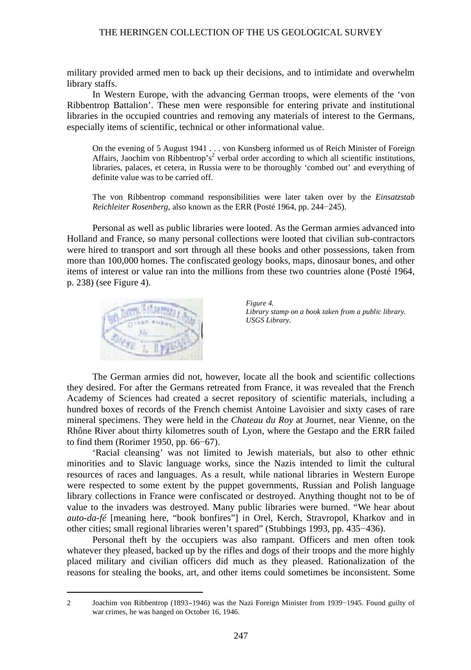military provided armed men to back up their decisions, and to intimidate and overwhelm library staffs.

In Western Europe, with the advancing German troops, were elements of the 'von Ribbentrop Battalion'. These men were responsible for entering private and institutional libraries in the occupied countries and removing any materials of interest to the Germans, especially items of scientific, technical or other informational value.

On the evening of 5 August 1941 . . . von Kunsberg informed us of Reich Minister of Foreign Affairs, Jaochim von Ribbentrop's<sup>2</sup> verbal order according to which all scientific institutions, libraries, palaces, et cetera, in Russia were to be thoroughly 'combed out' and everything of definite value was to be carried off.

The von Ribbentrop command responsibilities were later taken over by the *Einsatzstab Reichleiter Rosenberg*, also known as the ERR (Posté 1964, pp. 244−245).

Personal as well as public libraries were looted. As the German armies advanced into Holland and France, so many personal collections were looted that civilian sub-contractors were hired to transport and sort through all these books and other possessions, taken from more than 100,000 homes. The confiscated geology books, maps, dinosaur bones, and other items of interest or value ran into the millions from these two countries alone (Posté 1964, p. 238) (see Figure 4).



*Figure 4. Library stamp on a book taken from a public library. USGS Library.*

The German armies did not, however, locate all the book and scientific collections they desired. For after the Germans retreated from France, it was revealed that the French Academy of Sciences had created a secret repository of scientific materials, including a hundred boxes of records of the French chemist Antoine Lavoisier and sixty cases of rare mineral specimens. They were held in the *Chateau du Roy* at Journet, near Vienne, on the Rhône River about thirty kilometres south of Lyon, where the Gestapo and the ERR failed to find them (Rorimer 1950, pp. 66−67).

'Racial cleansing' was not limited to Jewish materials, but also to other ethnic minorities and to Slavic language works, since the Nazis intended to limit the cultural resources of races and languages. As a result, while national libraries in Western Europe were respected to some extent by the puppet governments, Russian and Polish language library collections in France were confiscated or destroyed. Anything thought not to be of value to the invaders was destroyed. Many public libraries were burned. "We hear about *auto-da-fé* [meaning here, "book bonfires"] in Orel, Kerch, Stravropol, Kharkov and in other cities; small regional libraries weren't spared" (Stubbings 1993, pp. 435−436).

Personal theft by the occupiers was also rampant. Officers and men often took whatever they pleased, backed up by the rifles and dogs of their troops and the more highly placed military and civilian officers did much as they pleased. Rationalization of the reasons for stealing the books, art, and other items could sometimes be inconsistent. Some

 2 Joachim von Ribbentrop (1893−1946) was the Nazi Foreign Minister from 1939−1945. Found guilty of war crimes, he was hanged on October 16, 1946.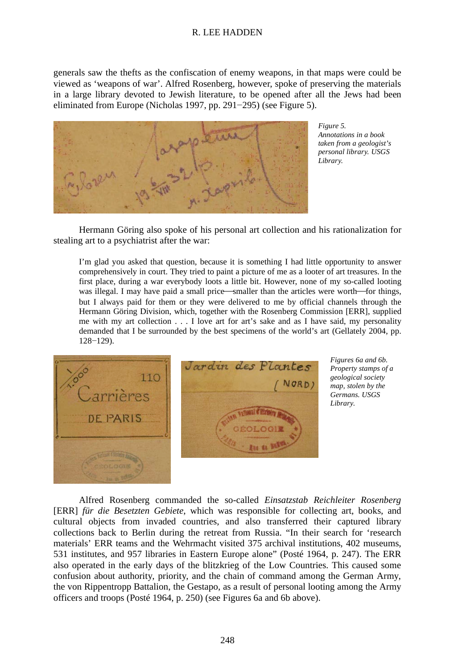generals saw the thefts as the confiscation of enemy weapons, in that maps were could be viewed as 'weapons of war'. Alfred Rosenberg, however, spoke of preserving the materials in a large library devoted to Jewish literature, to be opened after all the Jews had been eliminated from Europe (Nicholas 1997, pp. 291−295) (see Figure 5).



*Figure 5. Annotations in a book taken from a geologist's personal library. USGS Library.*

Hermann Göring also spoke of his personal art collection and his rationalization for stealing art to a psychiatrist after the war:

I'm glad you asked that question, because it is something I had little opportunity to answer comprehensively in court. They tried to paint a picture of me as a looter of art treasures. In the first place, during a war everybody loots a little bit. However, none of my so-called looting was illegal. I may have paid a small price—smaller than the articles were worth—for things, but I always paid for them or they were delivered to me by official channels through the Hermann Göring Division, which, together with the Rosenberg Commission [ERR], supplied me with my art collection . . . I love art for art's sake and as I have said, my personality demanded that I be surrounded by the best specimens of the world's art (Gellately 2004, pp. 128−129).



*Figures 6a and 6b. Property stamps of a geological society map, stolen by the Germans. USGS Library.*

Alfred Rosenberg commanded the so-called *Einsatzstab Reichleiter Rosenberg*  [ERR] *für die Besetzten Gebiete*, which was responsible for collecting art, books, and cultural objects from invaded countries, and also transferred their captured library collections back to Berlin during the retreat from Russia. "In their search for 'research materials' ERR teams and the Wehrmacht visited 375 archival institutions, 402 museums, 531 institutes, and 957 libraries in Eastern Europe alone" (Posté 1964, p. 247). The ERR also operated in the early days of the blitzkrieg of the Low Countries. This caused some confusion about authority, priority, and the chain of command among the German Army, the von Rippentropp Battalion, the Gestapo, as a result of personal looting among the Army officers and troops (Posté 1964, p. 250) (see Figures 6a and 6b above).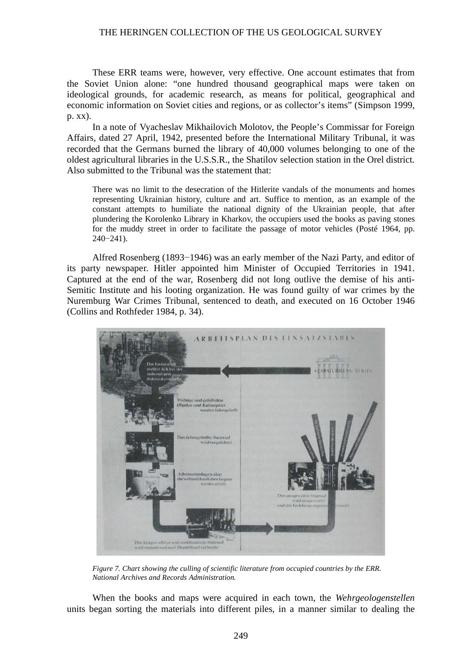These ERR teams were, however, very effective. One account estimates that from the Soviet Union alone: "one hundred thousand geographical maps were taken on ideological grounds, for academic research, as means for political, geographical and economic information on Soviet cities and regions, or as collector's items" (Simpson 1999, p. xx).

In a note of Vyacheslav Mikhailovich Molotov, the People's Commissar for Foreign Affairs, dated 27 April, 1942, presented before the International Military Tribunal, it was recorded that the Germans burned the library of 40,000 volumes belonging to one of the oldest agricultural libraries in the U.S.S.R., the Shatilov selection station in the Orel district. Also submitted to the Tribunal was the statement that:

There was no limit to the desecration of the Hitlerite vandals of the monuments and homes representing Ukrainian history, culture and art. Suffice to mention, as an example of the constant attempts to humiliate the national dignity of the Ukrainian people, that after plundering the Korolenko Library in Kharkov, the occupiers used the books as paving stones for the muddy street in order to facilitate the passage of motor vehicles (Posté 1964, pp. 240−241).

Alfred Rosenberg (1893−1946) was an early member of the Nazi Party, and editor of its party newspaper. Hitler appointed him Minister of Occupied Territories in 1941. Captured at the end of the war, Rosenberg did not long outlive the demise of his anti-Semitic Institute and his looting organization. He was found guilty of war crimes by the Nuremburg War Crimes Tribunal, sentenced to death, and executed on 16 October 1946 (Collins and Rothfeder 1984, p. 34).



*Figure 7. Chart showing the culling of scientific literature from occupied countries by the ERR. National Archives and Records Administration.*

When the books and maps were acquired in each town, the *Wehrgeologenstellen* units began sorting the materials into different piles, in a manner similar to dealing the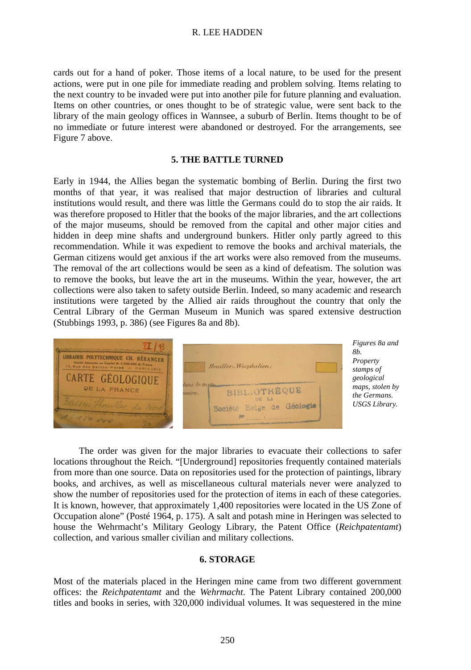cards out for a hand of poker. Those items of a local nature, to be used for the present actions, were put in one pile for immediate reading and problem solving. Items relating to the next country to be invaded were put into another pile for future planning and evaluation. Items on other countries, or ones thought to be of strategic value, were sent back to the library of the main geology offices in Wannsee, a suburb of Berlin. Items thought to be of no immediate or future interest were abandoned or destroyed. For the arrangements, see Figure 7 above.

# **5. THE BATTLE TURNED**

Early in 1944, the Allies began the systematic bombing of Berlin. During the first two months of that year, it was realised that major destruction of libraries and cultural institutions would result, and there was little the Germans could do to stop the air raids. It was therefore proposed to Hitler that the books of the major libraries, and the art collections of the major museums, should be removed from the capital and other major cities and hidden in deep mine shafts and underground bunkers. Hitler only partly agreed to this recommendation. While it was expedient to remove the books and archival materials, the German citizens would get anxious if the art works were also removed from the museums. The removal of the art collections would be seen as a kind of defeatism. The solution was to remove the books, but leave the art in the museums. Within the year, however, the art collections were also taken to safety outside Berlin. Indeed, so many academic and research institutions were targeted by the Allied air raids throughout the country that only the Central Library of the German Museum in Munich was spared extensive destruction (Stubbings 1993, p. 386) (see Figures 8a and 8b).



The order was given for the major libraries to evacuate their collections to safer locations throughout the Reich. "[Underground] repositories frequently contained materials from more than one source. Data on repositories used for the protection of paintings, library books, and archives, as well as miscellaneous cultural materials never were analyzed to show the number of repositories used for the protection of items in each of these categories. It is known, however, that approximately 1,400 repositories were located in the US Zone of Occupation alone" (Posté 1964, p. 175). A salt and potash mine in Heringen was selected to house the Wehrmacht's Military Geology Library, the Patent Office (*Reichpatentamt*) collection, and various smaller civilian and military collections.

### **6. STORAGE**

Most of the materials placed in the Heringen mine came from two different government offices: the *Reichpatentamt* and the *Wehrmacht*. The Patent Library contained 200,000 titles and books in series, with 320,000 individual volumes. It was sequestered in the mine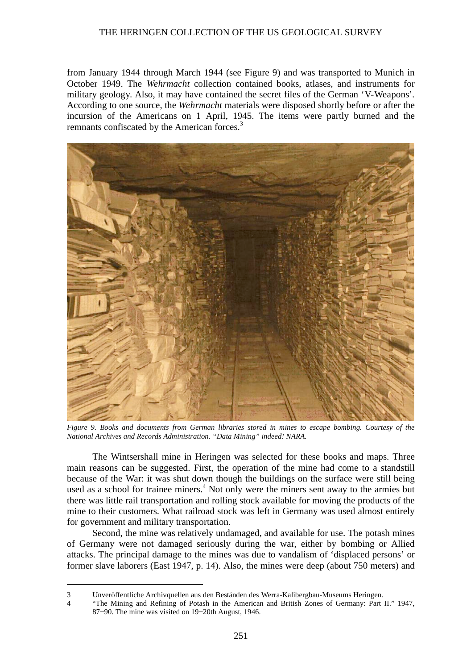from January 1944 through March 1944 (see Figure 9) and was transported to Munich in October 1949. The *Wehrmacht* collection contained books, atlases, and instruments for military geology. Also, it may have contained the secret files of the German 'V-Weapons'. According to one source, the *Wehrmacht* materials were disposed shortly before or after the incursion of the Americans on 1 April, 1945. The items were partly burned and the remnants confiscated by the American forces.<sup>3</sup>



*Figure 9. Books and documents from German libraries stored in mines to escape bombing. Courtesy of the National Archives and Records Administration. "Data Mining" indeed! NARA.*

The Wintsershall mine in Heringen was selected for these books and maps. Three main reasons can be suggested. First, the operation of the mine had come to a standstill because of the War: it was shut down though the buildings on the surface were still being used as a school for trainee miners.<sup>4</sup> Not only were the miners sent away to the armies but there was little rail transportation and rolling stock available for moving the products of the mine to their customers. What railroad stock was left in Germany was used almost entirely for government and military transportation.

Second, the mine was relatively undamaged, and available for use. The potash mines of Germany were not damaged seriously during the war, either by bombing or Allied attacks. The principal damage to the mines was due to vandalism of 'displaced persons' or former slave laborers (East 1947, p. 14). Also, the mines were deep (about 750 meters) and

 <sup>3</sup> Unveröffentliche Archivquellen aus den Beständen des Werra-Kalibergbau-Museums Heringen.

<sup>4</sup> "The Mining and Refining of Potash in the American and British Zones of Germany: Part II." 1947, 87−90. The mine was visited on 19−20th August, 1946.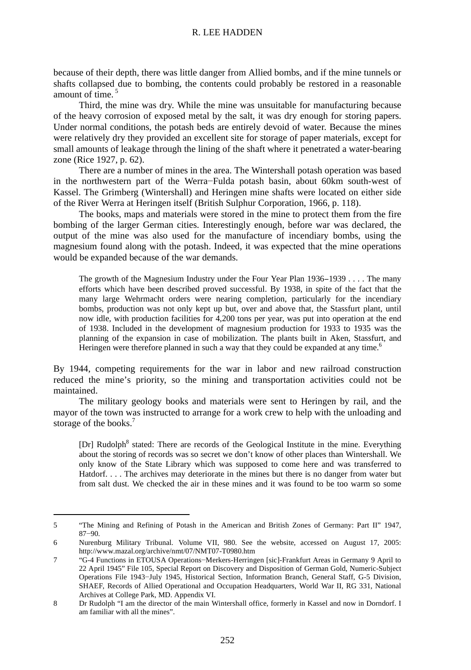because of their depth, there was little danger from Allied bombs, and if the mine tunnels or shafts collapsed due to bombing, the contents could probably be restored in a reasonable amount of time. <sup>5</sup>

Third, the mine was dry. While the mine was unsuitable for manufacturing because of the heavy corrosion of exposed metal by the salt, it was dry enough for storing papers. Under normal conditions, the potash beds are entirely devoid of water. Because the mines were relatively dry they provided an excellent site for storage of paper materials, except for small amounts of leakage through the lining of the shaft where it penetrated a water-bearing zone (Rice 1927, p. 62).

There are a number of mines in the area. The Wintershall potash operation was based in the northwestern part of the Werra−Fulda potash basin, about 60km south-west of Kassel. The Grimberg (Wintershall) and Heringen mine shafts were located on either side of the River Werra at Heringen itself (British Sulphur Corporation, 1966, p. 118).

The books, maps and materials were stored in the mine to protect them from the fire bombing of the larger German cities. Interestingly enough, before war was declared, the output of the mine was also used for the manufacture of incendiary bombs, using the magnesium found along with the potash. Indeed, it was expected that the mine operations would be expanded because of the war demands.

The growth of the Magnesium Industry under the Four Year Plan 1936−1939 . . . . The many efforts which have been described proved successful. By 1938, in spite of the fact that the many large Wehrmacht orders were nearing completion, particularly for the incendiary bombs, production was not only kept up but, over and above that, the Stassfurt plant, until now idle, with production facilities for 4,200 tons per year, was put into operation at the end of 1938. Included in the development of magnesium production for 1933 to 1935 was the planning of the expansion in case of mobilization. The plants built in Aken, Stassfurt, and Heringen were therefore planned in such a way that they could be expanded at any time.<sup>6</sup>

By 1944, competing requirements for the war in labor and new railroad construction reduced the mine's priority, so the mining and transportation activities could not be maintained.

The military geology books and materials were sent to Heringen by rail, and the mayor of the town was instructed to arrange for a work crew to help with the unloading and storage of the books.<sup>7</sup>

[Dr] Rudolph<sup>8</sup> stated: There are records of the Geological Institute in the mine. Everything about the storing of records was so secret we don't know of other places than Wintershall. We only know of the State Library which was supposed to come here and was transferred to Hatdorf. . . . The archives may deteriorate in the mines but there is no danger from water but from salt dust. We checked the air in these mines and it was found to be too warm so some

 <sup>5</sup> "The Mining and Refining of Potash in the American and British Zones of Germany: Part II" 1947, 87−90.

<sup>6</sup> Nurenburg Military Tribunal. Volume VII, 980. See the website, accessed on August 17, 2005: http://www.mazal.org/archive/nmt/07/NMT07-T0980.htm

<sup>7</sup> "G-4 Functions in ETOUSA Operations−Merkers-Herringen [sic]-Frankfurt Areas in Germany 9 April to 22 April 1945" File 105, Special Report on Discovery and Disposition of German Gold, Numeric-Subject Operations File 1943−July 1945, Historical Section, Information Branch, General Staff, G-5 Division, SHAEF, Records of Allied Operational and Occupation Headquarters, World War II, RG 331, National Archives at College Park, MD. Appendix VI.

<sup>8</sup> Dr Rudolph "I am the director of the main Wintershall office, formerly in Kassel and now in Dorndorf. I am familiar with all the mines".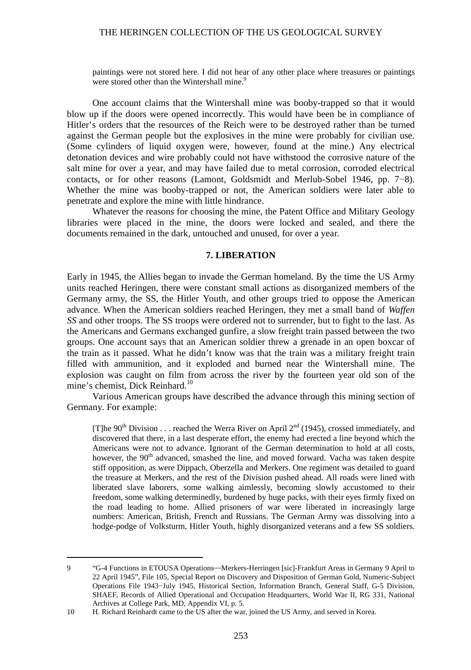paintings were not stored here. I did not hear of any other place where treasures or paintings were stored other than the Wintershall mine.<sup>9</sup>

One account claims that the Wintershall mine was booby-trapped so that it would blow up if the doors were opened incorrectly. This would have been be in compliance of Hitler's orders that the resources of the Reich were to be destroyed rather than be turned against the German people but the explosives in the mine were probably for civilian use. (Some cylinders of liquid oxygen were, however, found at the mine.) Any electrical detonation devices and wire probably could not have withstood the corrosive nature of the salt mine for over a year, and may have failed due to metal corrosion, corroded electrical contacts, or for other reasons (Lamont, Goldsmidt and Merlub-Sobel 1946, pp. 7−8). Whether the mine was booby-trapped or not, the American soldiers were later able to penetrate and explore the mine with little hindrance.

Whatever the reasons for choosing the mine, the Patent Office and Military Geology libraries were placed in the mine, the doors were locked and sealed, and there the documents remained in the dark, untouched and unused, for over a year.

# **7. LIBERATION**

Early in 1945, the Allies began to invade the German homeland. By the time the US Army units reached Heringen, there were constant small actions as disorganized members of the Germany army, the SS, the Hitler Youth, and other groups tried to oppose the American advance. When the American soldiers reached Heringen, they met a small band of *Waffen SS* and other troops. The SS troops were ordered not to surrender, but to fight to the last. As the Americans and Germans exchanged gunfire, a slow freight train passed between the two groups. One account says that an American soldier threw a grenade in an open boxcar of the train as it passed. What he didn't know was that the train was a military freight train filled with ammunition, and it exploded and burned near the Wintershall mine. The explosion was caught on film from across the river by the fourteen year old son of the mine's chemist, Dick Reinhard.<sup>10</sup>

Various American groups have described the advance through this mining section of Germany. For example:

[T]he 90<sup>th</sup> Division . . . reached the Werra River on April  $2<sup>nd</sup>$  (1945), crossed immediately, and discovered that there, in a last desperate effort, the enemy had erected a line beyond which the Americans were not to advance. Ignorant of the German determination to hold at all costs, however, the  $90<sup>th</sup>$  advanced, smashed the line, and moved forward. Vacha was taken despite stiff opposition, as were Dippach, Oberzella and Merkers. One regiment was detailed to guard the treasure at Merkers, and the rest of the Division pushed ahead. All roads were lined with liberated slave laborers, some walking aimlessly, becoming slowly accustomed to their freedom, some walking determinedly, burdened by huge packs, with their eyes firmly fixed on the road leading to home. Allied prisoners of war were liberated in increasingly large numbers: American, British, French and Russians. The German Army was dissolving into a hodge-podge of Volksturm, Hitler Youth, highly disorganized veterans and a few SS soldiers.

<sup>9 &</sup>quot;G-4 Functions in ETOUSA Operations—Merkers-Herringen [sic]-Frankfurt Areas in Germany 9 April to 22 April 1945", File 105, Special Report on Discovery and Disposition of German Gold, Numeric-Subject Operations File 1943−July 1945, Historical Section, Information Branch, General Staff, G-5 Division, SHAEF, Records of Allied Operational and Occupation Headquarters, World War II, RG 331, National Archives at College Park, MD, Appendix VI, p. 5.

<sup>10</sup> H. Richard Reinhardt came to the US after the war, joined the US Army, and served in Korea.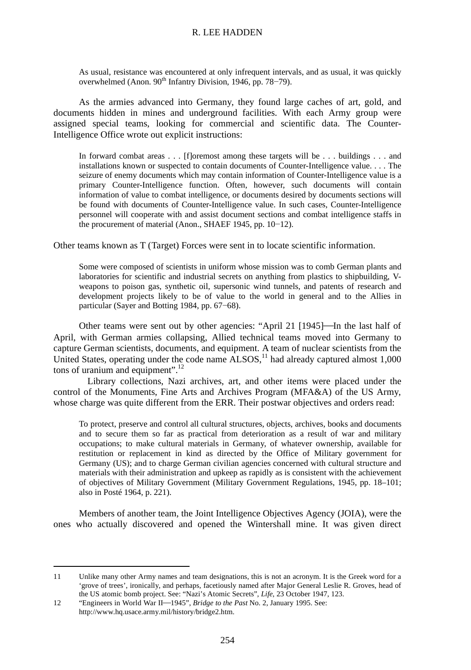As usual, resistance was encountered at only infrequent intervals, and as usual, it was quickly overwhelmed (Anon. 90<sup>th</sup> Infantry Division, 1946, pp. 78–79).

As the armies advanced into Germany, they found large caches of art, gold, and documents hidden in mines and underground facilities. With each Army group were assigned special teams, looking for commercial and scientific data. The Counter-Intelligence Office wrote out explicit instructions:

In forward combat areas  $\dots$ . [f]oremost among these targets will be  $\dots$  buildings  $\dots$  and installations known or suspected to contain documents of Counter-Intelligence value. . . . The seizure of enemy documents which may contain information of Counter-Intelligence value is a primary Counter-Intelligence function. Often, however, such documents will contain information of value to combat intelligence, or documents desired by documents sections will be found with documents of Counter-Intelligence value. In such cases, Counter-Intelligence personnel will cooperate with and assist document sections and combat intelligence staffs in the procurement of material (Anon., SHAEF 1945, pp. 10−12).

Other teams known as T (Target) Forces were sent in to locate scientific information.

Some were composed of scientists in uniform whose mission was to comb German plants and laboratories for scientific and industrial secrets on anything from plastics to shipbuilding, Vweapons to poison gas, synthetic oil, supersonic wind tunnels, and patents of research and development projects likely to be of value to the world in general and to the Allies in particular (Sayer and Botting 1984, pp. 67−68).

Other teams were sent out by other agencies: "April 21 [1945]—In the last half of April, with German armies collapsing, Allied technical teams moved into Germany to capture German scientists, documents, and equipment. A team of nuclear scientists from the United States, operating under the code name  $\widehat{ALSOS}$ ,<sup>11</sup> had already captured almost  $1,000$ tons of uranium and equipment". 12

Library collections, Nazi archives, art, and other items were placed under the control of the Monuments, Fine Arts and Archives Program (MFA&A) of the US Army, whose charge was quite different from the ERR. Their postwar objectives and orders read:

To protect, preserve and control all cultural structures, objects, archives, books and documents and to secure them so far as practical from deterioration as a result of war and military occupations; to make cultural materials in Germany, of whatever ownership, available for restitution or replacement in kind as directed by the Office of Military government for Germany (US); and to charge German civilian agencies concerned with cultural structure and materials with their administration and upkeep as rapidly as is consistent with the achievement of objectives of Military Government (Military Government Regulations, 1945, pp. 18–101; also in Posté 1964, p. 221).

Members of another team, the Joint Intelligence Objectives Agency (JOIA), were the ones who actually discovered and opened the Wintershall mine. It was given direct

 <sup>11</sup> Unlike many other Army names and team designations, this is not an acronym. It is the Greek word for a 'grove of trees', ironically, and perhaps, facetiously named after Major General Leslie R. Groves, head of the US atomic bomb project. See: "Nazi's Atomic Secrets", *Life*, 23 October 1947, 123.

<sup>12 &</sup>quot;Engineers in World War II-1945", *Bridge to the Past* No. 2, January 1995. See: http://www.hq.usace.army.mil/history/bridge2.htm.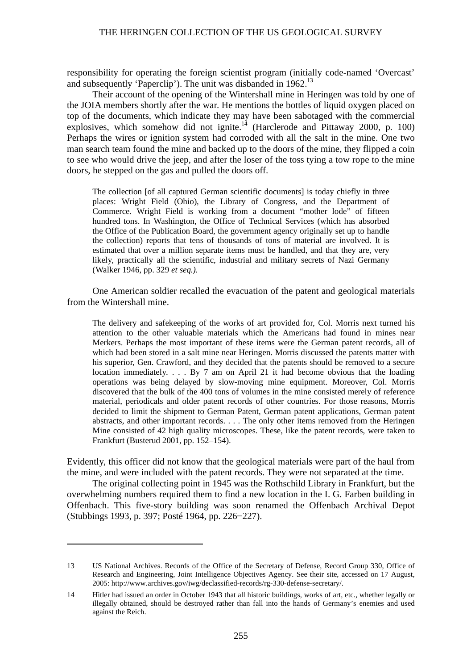responsibility for operating the foreign scientist program (initially code-named 'Overcast' and subsequently 'Paperclip'). The unit was disbanded in  $1962<sup>13</sup>$ 

Their account of the opening of the Wintershall mine in Heringen was told by one of the JOIA members shortly after the war. He mentions the bottles of liquid oxygen placed on top of the documents, which indicate they may have been sabotaged with the commercial explosives, which somehow did not ignite.<sup>14</sup> (Harclerode and Pittaway 2000, p. 100) Perhaps the wires or ignition system had corroded with all the salt in the mine. One two man search team found the mine and backed up to the doors of the mine, they flipped a coin to see who would drive the jeep, and after the loser of the toss tying a tow rope to the mine doors, he stepped on the gas and pulled the doors off.

The collection [of all captured German scientific documents] is today chiefly in three places: Wright Field (Ohio), the Library of Congress, and the Department of Commerce. Wright Field is working from a document "mother lode" of fifteen hundred tons. In Washington, the Office of Technical Services (which has absorbed the Office of the Publication Board, the government agency originally set up to handle the collection) reports that tens of thousands of tons of material are involved. It is estimated that over a million separate items must be handled, and that they are, very likely, practically all the scientific, industrial and military secrets of Nazi Germany (Walker 1946, pp. 329 *et seq.).*

One American soldier recalled the evacuation of the patent and geological materials from the Wintershall mine.

The delivery and safekeeping of the works of art provided for, Col. Morris next turned his attention to the other valuable materials which the Americans had found in mines near Merkers. Perhaps the most important of these items were the German patent records, all of which had been stored in a salt mine near Heringen. Morris discussed the patents matter with his superior, Gen. Crawford, and they decided that the patents should be removed to a secure location immediately. . . . By 7 am on April 21 it had become obvious that the loading operations was being delayed by slow-moving mine equipment. Moreover, Col. Morris discovered that the bulk of the 400 tons of volumes in the mine consisted merely of reference material, periodicals and older patent records of other countries. For those reasons, Morris decided to limit the shipment to German Patent, German patent applications, German patent abstracts, and other important records. . . . The only other items removed from the Heringen Mine consisted of 42 high quality microscopes. These, like the patent records, were taken to Frankfurt (Busterud 2001, pp. 152–154).

Evidently, this officer did not know that the geological materials were part of the haul from the mine, and were included with the patent records. They were not separated at the time.

The original collecting point in 1945 was the Rothschild Library in Frankfurt, but the overwhelming numbers required them to find a new location in the I. G. Farben building in Offenbach. This five-story building was soon renamed the Offenbach Archival Depot (Stubbings 1993, p. 397; Posté 1964, pp. 226−227).

 $\overline{a}$ 

<sup>13</sup> US National Archives. Records of the Office of the Secretary of Defense, Record Group 330, Office of Research and Engineering, Joint Intelligence Objectives Agency. See their site, accessed on 17 August, 2005: http://www.archives.gov/iwg/declassified-records/rg-330-defense-secretary/.

<sup>14</sup> Hitler had issued an order in October 1943 that all historic buildings, works of art, etc., whether legally or illegally obtained, should be destroyed rather than fall into the hands of Germany's enemies and used against the Reich.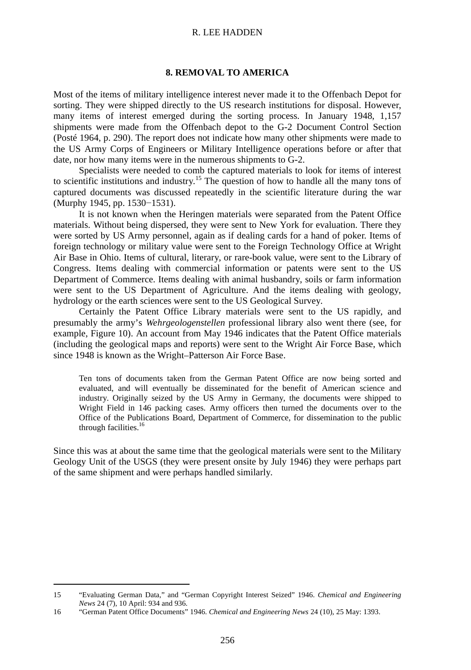# **8. REMOVAL TO AMERICA**

Most of the items of military intelligence interest never made it to the Offenbach Depot for sorting. They were shipped directly to the US research institutions for disposal. However, many items of interest emerged during the sorting process. In January 1948, 1,157 shipments were made from the Offenbach depot to the G-2 Document Control Section (Posté 1964, p. 290). The report does not indicate how many other shipments were made to the US Army Corps of Engineers or Military Intelligence operations before or after that date, nor how many items were in the numerous shipments to G-2.

Specialists were needed to comb the captured materials to look for items of interest to scientific institutions and industry.<sup>15</sup> The question of how to handle all the many tons of captured documents was discussed repeatedly in the scientific literature during the war (Murphy 1945, pp. 1530−1531).

It is not known when the Heringen materials were separated from the Patent Office materials. Without being dispersed, they were sent to New York for evaluation. There they were sorted by US Army personnel, again as if dealing cards for a hand of poker. Items of foreign technology or military value were sent to the Foreign Technology Office at Wright Air Base in Ohio. Items of cultural, literary, or rare-book value, were sent to the Library of Congress. Items dealing with commercial information or patents were sent to the US Department of Commerce. Items dealing with animal husbandry, soils or farm information were sent to the US Department of Agriculture. And the items dealing with geology, hydrology or the earth sciences were sent to the US Geological Survey.

Certainly the Patent Office Library materials were sent to the US rapidly, and presumably the army's *Wehrgeologenstellen* professional library also went there (see, for example, Figure 10). An account from May 1946 indicates that the Patent Office materials (including the geological maps and reports) were sent to the Wright Air Force Base, which since 1948 is known as the Wright–Patterson Air Force Base.

Ten tons of documents taken from the German Patent Office are now being sorted and evaluated, and will eventually be disseminated for the benefit of American science and industry. Originally seized by the US Army in Germany, the documents were shipped to Wright Field in 146 packing cases. Army officers then turned the documents over to the Office of the Publications Board, Department of Commerce, for dissemination to the public through facilities.<sup>16</sup>

Since this was at about the same time that the geological materials were sent to the Military Geology Unit of the USGS (they were present onsite by July 1946) they were perhaps part of the same shipment and were perhaps handled similarly.

 <sup>15</sup> "Evaluating German Data," and "German Copyright Interest Seized" 1946. *Chemical and Engineering News* 24 (7), 10 April: 934 and 936.

<sup>16</sup> "German Patent Office Documents" 1946. *Chemical and Engineering News* 24 (10), 25 May: 1393.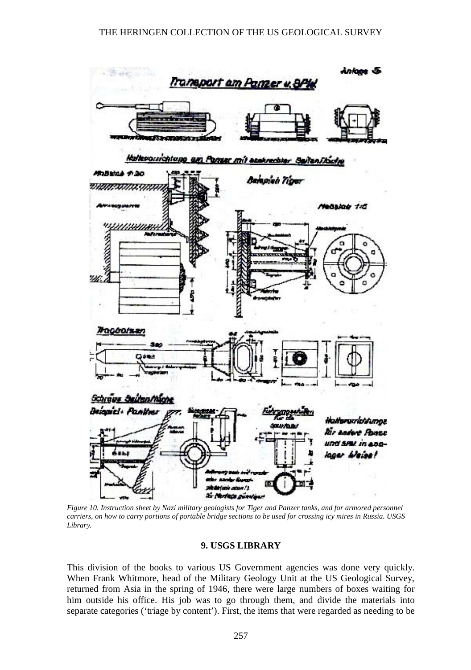

*Figure 10. Instruction sheet by Nazi military geologists for Tiger and Panzer tanks, and for armored personnel carriers, on how to carry portions of portable bridge sections to be used for crossing icy mires in Russia. USGS Library.*

# **9. USGS LIBRARY**

This division of the books to various US Government agencies was done very quickly. When Frank Whitmore, head of the Military Geology Unit at the US Geological Survey, returned from Asia in the spring of 1946, there were large numbers of boxes waiting for him outside his office. His job was to go through them, and divide the materials into separate categories ('triage by content'). First, the items that were regarded as needing to be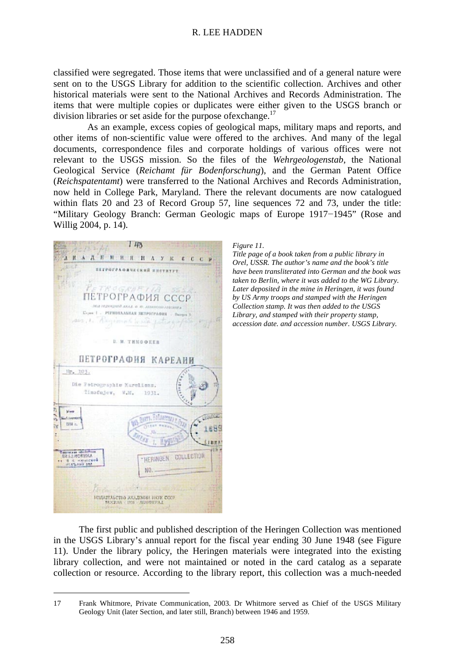classified were segregated. Those items that were unclassified and of a general nature were sent on to the USGS Library for addition to the scientific collection. Archives and other historical materials were sent to the National Archives and Records Administration. The items that were multiple copies or duplicates were either given to the USGS branch or division libraries or set aside for the purpose of exchange.<sup>17</sup>

As an example, excess copies of geological maps, military maps and reports, and other items of non-scientific value were offered to the archives. And many of the legal documents, correspondence files and corporate holdings of various offices were not relevant to the USGS mission. So the files of the *Wehrgeologenstab*, the National Geological Service (*Reichamt für Bodenforschung*), and the German Patent Office (*Reichspatentamt*) were transferred to the National Archives and Records Administration, now held in College Park, Maryland. There the relevant documents are now catalogued within flats 20 and 23 of Record Group 57, line sequences 72 and 73, under the title: "Military Geology Branch: German Geologic maps of Europe 1917−1945" (Rose and Willig 2004, p. 14).



*Figure 11.* 

*Title page of a book taken from a public library in Orel, USSR. The author's name and the book's title have been transliterated into German and the book was taken to Berlin, where it was added to the WG Library. Later deposited in the mine in Heringen, it was found by US Army troops and stamped with the Heringen Collection stamp. It was then added to the USGS Library, and stamped with their property stamp, accession date. and accession number. USGS Library.*

The first public and published description of the Heringen Collection was mentioned in the USGS Library's annual report for the fiscal year ending 30 June 1948 (see Figure 11). Under the library policy, the Heringen materials were integrated into the existing library collection, and were not maintained or noted in the card catalog as a separate collection or resource. According to the library report, this collection was a much-needed

 <sup>17</sup> Frank Whitmore, Private Communication, 2003. Dr Whitmore served as Chief of the USGS Military Geology Unit (later Section, and later still, Branch) between 1946 and 1959.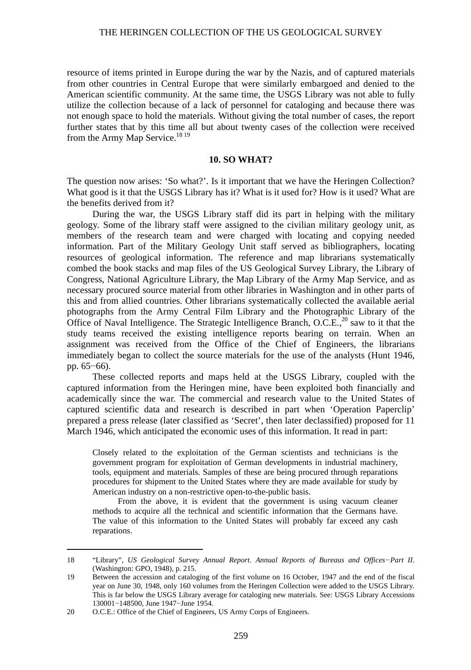resource of items printed in Europe during the war by the Nazis, and of captured materials from other countries in Central Europe that were similarly embargoed and denied to the American scientific community. At the same time, the USGS Library was not able to fully utilize the collection because of a lack of personnel for cataloging and because there was not enough space to hold the materials. Without giving the total number of cases, the report further states that by this time all but about twenty cases of the collection were received from the Army Map Service.<sup>18 19</sup>

# **10. SO WHAT?**

The question now arises: 'So what?'. Is it important that we have the Heringen Collection? What good is it that the USGS Library has it? What is it used for? How is it used? What are the benefits derived from it?

During the war, the USGS Library staff did its part in helping with the military geology. Some of the library staff were assigned to the civilian military geology unit, as members of the research team and were charged with locating and copying needed information. Part of the Military Geology Unit staff served as bibliographers, locating resources of geological information. The reference and map librarians systematically combed the book stacks and map files of the US Geological Survey Library, the Library of Congress, National Agriculture Library, the Map Library of the Army Map Service, and as necessary procured source material from other libraries in Washington and in other parts of this and from allied countries. Other librarians systematically collected the available aerial photographs from the Army Central Film Library and the Photographic Library of the Office of Naval Intelligence. The Strategic Intelligence Branch, O.C.E., $^{20}$  saw to it that the study teams received the existing intelligence reports bearing on terrain. When an assignment was received from the Office of the Chief of Engineers, the librarians immediately began to collect the source materials for the use of the analysts (Hunt 1946, pp. 65–66).

These collected reports and maps held at the USGS Library, coupled with the captured information from the Heringen mine, have been exploited both financially and academically since the war. The commercial and research value to the United States of captured scientific data and research is described in part when 'Operation Paperclip' prepared a press release (later classified as 'Secret', then later declassified) proposed for 11 March 1946, which anticipated the economic uses of this information. It read in part:

Closely related to the exploitation of the German scientists and technicians is the government program for exploitation of German developments in industrial machinery, tools, equipment and materials. Samples of these are being procured through reparations procedures for shipment to the United States where they are made available for study by American industry on a non-restrictive open-to-the-public basis.

From the above, it is evident that the government is using vacuum cleaner methods to acquire all the technical and scientific information that the Germans have. The value of this information to the United States will probably far exceed any cash reparations.

 <sup>18</sup> "Library", *US Geological Survey Annual Report. Annual Reports of Bureaus and Offices−Part II*. (Washington: GPO, 1948), p. 215.

<sup>19</sup> Between the accession and cataloging of the first volume on 16 October, 1947 and the end of the fiscal year on June 30, 1948, only 160 volumes from the Heringen Collection were added to the USGS Library. This is far below the USGS Library average for cataloging new materials. See: USGS Library Accessions 130001−148500, June 1947−June 1954.

<sup>20</sup> O.C.E.: Office of the Chief of Engineers, US Army Corps of Engineers.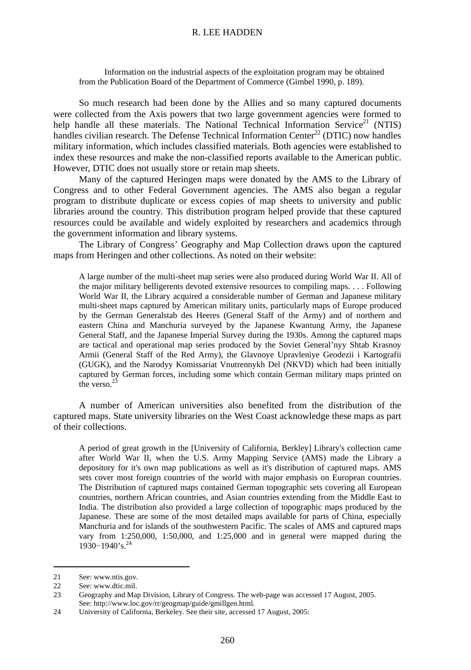Information on the industrial aspects of the exploitation program may be obtained from the Publication Board of the Department of Commerce (Gimbel 1990, p. 189).

So much research had been done by the Allies and so many captured documents were collected from the Axis powers that two large government agencies were formed to help handle all these materials. The National Technical Information Service<sup>21</sup> (NTIS) handles civilian research. The Defense Technical Information Center<sup>22</sup> (DTIC) now handles military information, which includes classified materials. Both agencies were established to index these resources and make the non-classified reports available to the American public. However, DTIC does not usually store or retain map sheets.

Many of the captured Heringen maps were donated by the AMS to the Library of Congress and to other Federal Government agencies. The AMS also began a regular program to distribute duplicate or excess copies of map sheets to university and public libraries around the country. This distribution program helped provide that these captured resources could be available and widely exploited by researchers and academics through the government information and library systems.

The Library of Congress' Geography and Map Collection draws upon the captured maps from Heringen and other collections. As noted on their website:

A large number of the multi-sheet map series were also produced during World War II. All of the major military belligerents devoted extensive resources to compiling maps. . . . Following World War II, the Library acquired a considerable number of German and Japanese military multi-sheet maps captured by American military units, particularly maps of Europe produced by the German Generalstab des Heeres (General Staff of the Army) and of northern and eastern China and Manchuria surveyed by the Japanese Kwantung Army, the Japanese General Staff, and the Japanese Imperial Survey during the 1930s. Among the captured maps are tactical and operational map series produced by the Soviet General'nyy Shtab Krasnoy Armii (General Staff of the Red Army), the Glavnoye Upravleniye Geodezii i Kartografii (GUGK), and the Narodyy Komissariat Vnutrennykh Del (NKVD) which had been initially captured by German forces, including some which contain German military maps printed on the verso.<sup>23</sup>

A number of American universities also benefited from the distribution of the captured maps. State university libraries on the West Coast acknowledge these maps as part of their collections.

A period of great growth in the [University of California, Berkley] Library's collection came after World War II, when the U.S. Army Mapping Service (AMS) made the Library a depository for it's own map publications as well as it's distribution of captured maps. AMS sets cover most foreign countries of the world with major emphasis on European countries. The Distribution of captured maps contained German topographic sets covering all European countries, northern African countries, and Asian countries extending from the Middle East to India. The distribution also provided a large collection of topographic maps produced by the Japanese. These are some of the most detailed maps available for parts of China, especially Manchuria and for islands of the southwestern Pacific. The scales of AMS and captured maps vary from 1:250,000, 1:50,000, and 1:25,000 and in general were mapped during the 1930–1940's.<sup>24</sup>

 <sup>21</sup> See: www.ntis.gov.

<sup>22</sup> See: www.dtic.mil.

<sup>23</sup> Geography and Map Division, Library of Congress. The web-page was accessed 17 August, 2005. See: http://www.loc.gov/rr/geogmap/guide/gmillgen.html.

<sup>24</sup> University of California, Berkeley. See their site, accessed 17 August, 2005: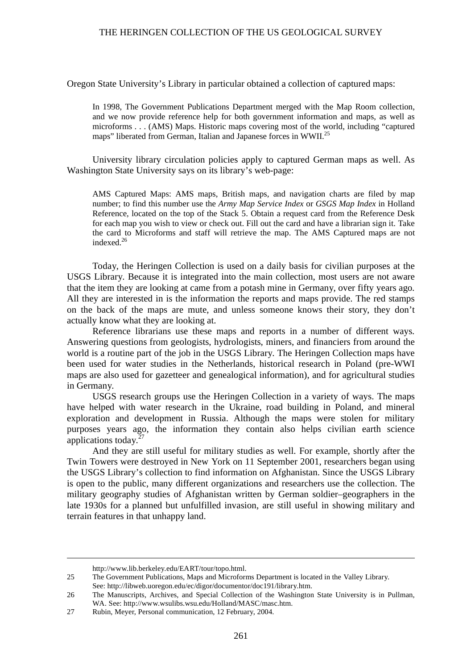Oregon State University's Library in particular obtained a collection of captured maps:

In 1998, The Government Publications Department merged with the Map Room collection, and we now provide reference help for both government information and maps, as well as microforms . . . (AMS) Maps. Historic maps covering most of the world, including "captured maps" liberated from German, Italian and Japanese forces in WWII.<sup>25</sup>

University library circulation policies apply to captured German maps as well. As Washington State University says on its library's web-page:

AMS Captured Maps: AMS maps, British maps, and navigation charts are filed by map number; to find this number use the *Army Map Service Index* or *GSGS Map Index* in Holland Reference, located on the top of the Stack 5. Obtain a request card from the Reference Desk for each map you wish to view or check out. Fill out the card and have a librarian sign it. Take the card to Microforms and staff will retrieve the map. The AMS Captured maps are not indexed.26

Today, the Heringen Collection is used on a daily basis for civilian purposes at the USGS Library. Because it is integrated into the main collection, most users are not aware that the item they are looking at came from a potash mine in Germany, over fifty years ago. All they are interested in is the information the reports and maps provide. The red stamps on the back of the maps are mute, and unless someone knows their story, they don't actually know what they are looking at.

Reference librarians use these maps and reports in a number of different ways. Answering questions from geologists, hydrologists, miners, and financiers from around the world is a routine part of the job in the USGS Library. The Heringen Collection maps have been used for water studies in the Netherlands, historical research in Poland (pre-WWI maps are also used for gazetteer and genealogical information), and for agricultural studies in Germany.

USGS research groups use the Heringen Collection in a variety of ways. The maps have helped with water research in the Ukraine, road building in Poland, and mineral exploration and development in Russia. Although the maps were stolen for military purposes years ago, the information they contain also helps civilian earth science applications today.<sup>27</sup>

And they are still useful for military studies as well. For example, shortly after the Twin Towers were destroyed in New York on 11 September 2001, researchers began using the USGS Library's collection to find information on Afghanistan. Since the USGS Library is open to the public, many different organizations and researchers use the collection. The military geography studies of Afghanistan written by German soldier–geographers in the late 1930s for a planned but unfulfilled invasion, are still useful in showing military and terrain features in that unhappy land.

http://www.lib.berkeley.edu/EART/tour/topo.html.

<sup>25</sup> The Government Publications, Maps and Microforms Department is located in the Valley Library. See: http://libweb.uoregon.edu/ec/digor/documentor/doc191/library.htm.

<sup>26</sup> The Manuscripts, Archives, and Special Collection of the Washington State University is in Pullman, WA. See: http://www.wsulibs.wsu.edu/Holland/MASC/masc.htm.

<sup>27</sup> Rubin, Meyer, Personal communication, 12 February, 2004.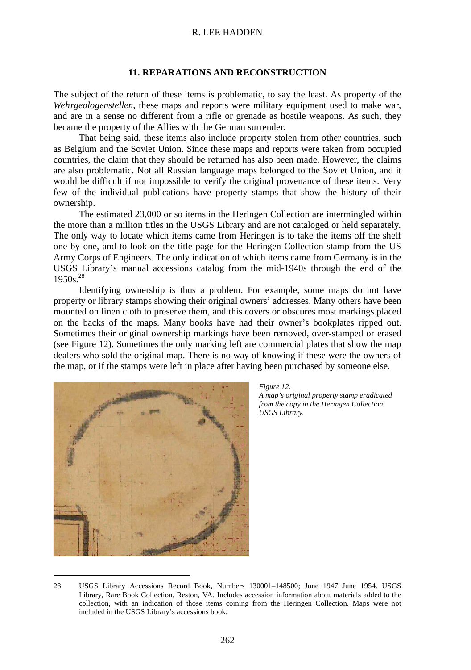# **11. REPARATIONS AND RECONSTRUCTION**

The subject of the return of these items is problematic, to say the least. As property of the *Wehrgeologenstellen*, these maps and reports were military equipment used to make war, and are in a sense no different from a rifle or grenade as hostile weapons. As such, they became the property of the Allies with the German surrender.

That being said, these items also include property stolen from other countries, such as Belgium and the Soviet Union. Since these maps and reports were taken from occupied countries, the claim that they should be returned has also been made. However, the claims are also problematic. Not all Russian language maps belonged to the Soviet Union, and it would be difficult if not impossible to verify the original provenance of these items. Very few of the individual publications have property stamps that show the history of their ownership.

The estimated 23,000 or so items in the Heringen Collection are intermingled within the more than a million titles in the USGS Library and are not cataloged or held separately. The only way to locate which items came from Heringen is to take the items off the shelf one by one, and to look on the title page for the Heringen Collection stamp from the US Army Corps of Engineers. The only indication of which items came from Germany is in the USGS Library's manual accessions catalog from the mid-1940s through the end of the 1950s.28

Identifying ownership is thus a problem. For example, some maps do not have property or library stamps showing their original owners' addresses. Many others have been mounted on linen cloth to preserve them, and this covers or obscures most markings placed on the backs of the maps. Many books have had their owner's bookplates ripped out. Sometimes their original ownership markings have been removed, over-stamped or erased (see Figure 12). Sometimes the only marking left are commercial plates that show the map dealers who sold the original map. There is no way of knowing if these were the owners of the map, or if the stamps were left in place after having been purchased by someone else.





 <sup>28</sup> USGS Library Accessions Record Book, Numbers 130001–148500; June 1947−June 1954. USGS Library, Rare Book Collection, Reston, VA. Includes accession information about materials added to the collection, with an indication of those items coming from the Heringen Collection. Maps were not included in the USGS Library's accessions book.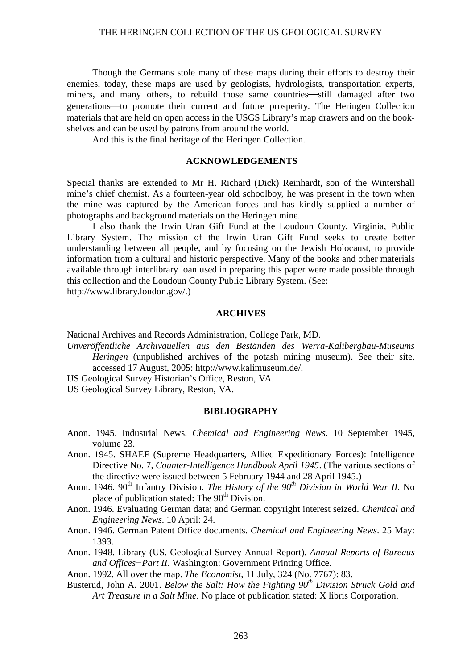Though the Germans stole many of these maps during their efforts to destroy their enemies, today, these maps are used by geologists, hydrologists, transportation experts, miners, and many others, to rebuild those same countries—still damaged after two generations-to promote their current and future prosperity. The Heringen Collection materials that are held on open access in the USGS Library's map drawers and on the bookshelves and can be used by patrons from around the world.

And this is the final heritage of the Heringen Collection.

#### **ACKNOWLEDGEMENTS**

Special thanks are extended to Mr H. Richard (Dick) Reinhardt, son of the Wintershall mine's chief chemist. As a fourteen-year old schoolboy, he was present in the town when the mine was captured by the American forces and has kindly supplied a number of photographs and background materials on the Heringen mine.

I also thank the Irwin Uran Gift Fund at the Loudoun County, Virginia, Public Library System. The mission of the Irwin Uran Gift Fund seeks to create better understanding between all people, and by focusing on the Jewish Holocaust, to provide information from a cultural and historic perspective. Many of the books and other materials available through interlibrary loan used in preparing this paper were made possible through this collection and the Loudoun County Public Library System. (See:

http://www.library.loudon.gov/.)

### **ARCHIVES**

National Archives and Records Administration, College Park, MD.

- *Unveröffentliche Archivquellen aus den Beständen des Werra-Kalibergbau-Museums Heringen* (unpublished archives of the potash mining museum). See their site, accessed 17 August, 2005: http://www.kalimuseum.de/.
- US Geological Survey Historian's Office, Reston, VA.
- US Geological Survey Library, Reston, VA.

#### **BIBLIOGRAPHY**

- Anon. 1945. Industrial News. *Chemical and Engineering News*. 10 September 1945, volume 23.
- Anon. 1945. SHAEF (Supreme Headquarters, Allied Expeditionary Forces): Intelligence Directive No. 7, *Counter-Intelligence Handbook April 1945*. (The various sections of the directive were issued between 5 February 1944 and 28 April 1945.)
- Anon. 1946. 90<sup>th</sup> Infantry Division. *The History of the 90<sup>th</sup> Division in World War II*. No place of publication stated: The 90<sup>th</sup> Division.
- Anon. 1946. Evaluating German data; and German copyright interest seized. *Chemical and Engineering News*. 10 April: 24.
- Anon. 1946. German Patent Office documents. *Chemical and Engineering News*. 25 May: 1393.
- Anon. 1948. Library (US. Geological Survey Annual Report). *Annual Reports of Bureaus and Offices−Part II*. Washington: Government Printing Office.

Anon. 1992. All over the map. *The Economist*, 11 July, 324 (No. 7767): 83.

Busterud, John A. 2001. *Below the Salt: How the Fighting 90th Division Struck Gold and Art Treasure in a Salt Mine*. No place of publication stated: X libris Corporation.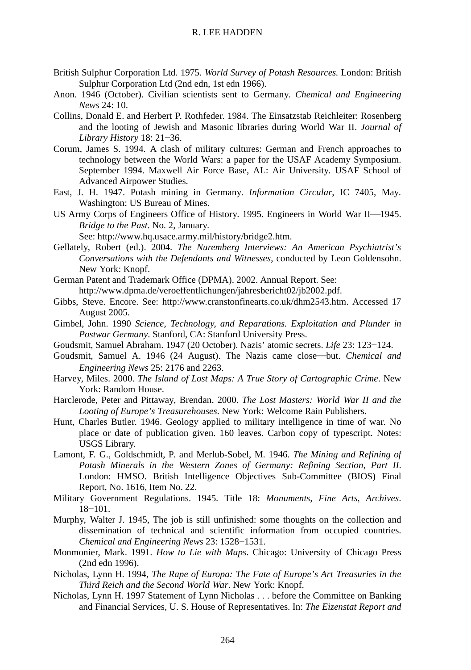- British Sulphur Corporation Ltd. 1975. *World Survey of Potash Resources.* London: British Sulphur Corporation Ltd (2nd edn, 1st edn 1966).
- Anon. 1946 (October). Civilian scientists sent to Germany. *Chemical and Engineering News* 24: 10.
- Collins, Donald E. and Herbert P. Rothfeder. 1984. The Einsatzstab Reichleiter: Rosenberg and the looting of Jewish and Masonic libraries during World War II. *Journal of Library History* 18: 21−36.
- Corum, James S. 1994. A clash of military cultures: German and French approaches to technology between the World Wars: a paper for the USAF Academy Symposium. September 1994. Maxwell Air Force Base, AL: Air University. USAF School of Advanced Airpower Studies.
- East, J. H. 1947. Potash mining in Germany. *Information Circular*, IC 7405, May. Washington: US Bureau of Mines.
- US Army Corps of Engineers Office of History. 1995. Engineers in World War II-1945. *Bridge to the Past*. No. 2, January.

See: http://www.hq.usace.army.mil/history/bridge2.htm.

- Gellately, Robert (ed.). 2004. *The Nuremberg Interviews: An American Psychiatrist's Conversations with the Defendants and Witnesses*, conducted by Leon Goldensohn. New York: Knopf.
- German Patent and Trademark Office (DPMA). 2002. Annual Report. See: http://www.dpma.de/veroeffentlichungen/jahresbericht02/jb2002.pdf.
- Gibbs, Steve. Encore. See: http://www.cranstonfinearts.co.uk/dhm2543.htm. Accessed 17 August 2005.
- Gimbel, John. 1990 *Science, Technology, and Reparations. Exploitation and Plunder in Postwar Germany*. Stanford, CA: Stanford University Press.
- Goudsmit, Samuel Abraham. 1947 (20 October). Nazis' atomic secrets. *Life* 23: 123−124.
- Goudsmit, Samuel A. 1946 (24 August). The Nazis came close-but. *Chemical and Engineering News* 25: 2176 and 2263.
- Harvey, Miles. 2000. *The Island of Lost Maps: A True Story of Cartographic Crime*. New York: Random House.
- Harclerode, Peter and Pittaway, Brendan. 2000. *The Lost Masters: World War II and the Looting of Europe's Treasurehouses*. New York: Welcome Rain Publishers.
- Hunt, Charles Butler. 1946. Geology applied to military intelligence in time of war. No place or date of publication given. 160 leaves. Carbon copy of typescript. Notes: USGS Library.
- Lamont, F. G., Goldschmidt, P. and Merlub-Sobel, M. 1946. *The Mining and Refining of Potash Minerals in the Western Zones of Germany: Refining Section, Part II*. London: HMSO. British Intelligence Objectives Sub-Committee (BIOS) Final Report, No. 1616, Item No. 22.
- Military Government Regulations. 1945. Title 18: *Monuments, Fine Arts, Archives*. 18−101.
- Murphy, Walter J. 1945, The job is still unfinished: some thoughts on the collection and dissemination of technical and scientific information from occupied countries. *Chemical and Engineering News* 23: 1528−1531.
- Monmonier, Mark. 1991. *How to Lie with Maps*. Chicago: University of Chicago Press (2nd edn 1996).
- Nicholas, Lynn H. 1994, *The Rape of Europa: The Fate of Europe's Art Treasuries in the Third Reich and the Second World War*. New York: Knopf.
- Nicholas, Lynn H. 1997 Statement of Lynn Nicholas . . . before the Committee on Banking and Financial Services, U. S. House of Representatives. In: *The Eizenstat Report and*